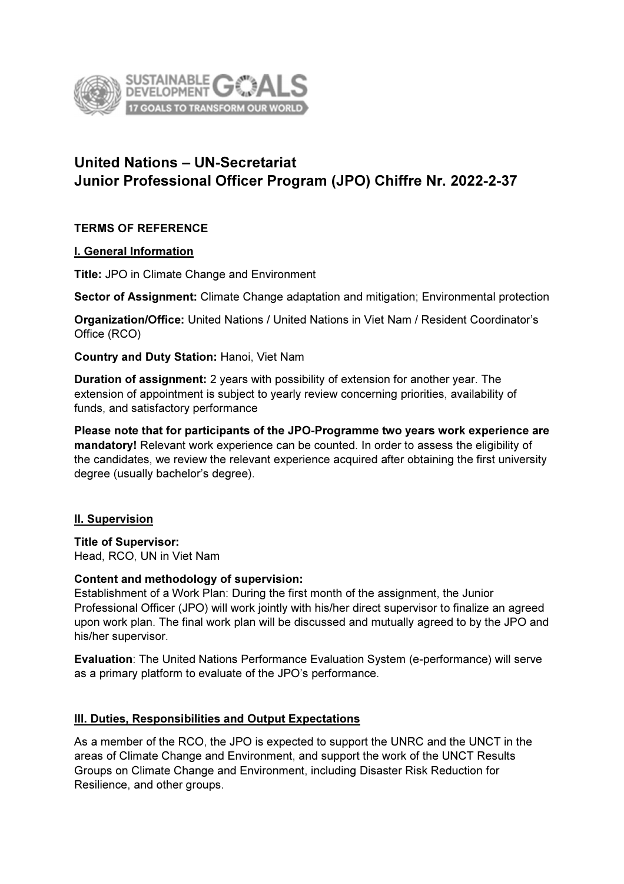

# United Nations – UN-Secretariat Junior Professional Officer Program (JPO) Chiffre Nr. 2022-2-37

# TERMS OF REFERENCE

#### I. General Information

Title: JPO in Climate Change and Environment

Sector of Assignment: Climate Change adaptation and mitigation; Environmental protection

Organization/Office: United Nations / United Nations in Viet Nam / Resident Coordinator's Office (RCO)

Country and Duty Station: Hanoi, Viet Nam

Duration of assignment: 2 years with possibility of extension for another year. The extension of appointment is subject to yearly review concerning priorities, availability of funds, and satisfactory performance

Please note that for participants of the JPO-Programme two years work experience are mandatory! Relevant work experience can be counted. In order to assess the eligibility of the candidates, we review the relevant experience acquired after obtaining the first university degree (usually bachelor's degree).

# **II. Supervision**

Title of Supervisor: Head, RCO, UN in Viet Nam

#### Content and methodology of supervision:

Establishment of a Work Plan: During the first month of the assignment, the Junior Professional Officer (JPO) will work jointly with his/her direct supervisor to finalize an agreed upon work plan. The final work plan will be discussed and mutually agreed to by the JPO and his/her supervisor.

Evaluation: The United Nations Performance Evaluation System (e-performance) will serve as a primary platform to evaluate of the JPO's performance.

# III. Duties, Responsibilities and Output Expectations

As a member of the RCO, the JPO is expected to support the UNRC and the UNCT in the areas of Climate Change and Environment, and support the work of the UNCT Results Groups on Climate Change and Environment, including Disaster Risk Reduction for Resilience, and other groups.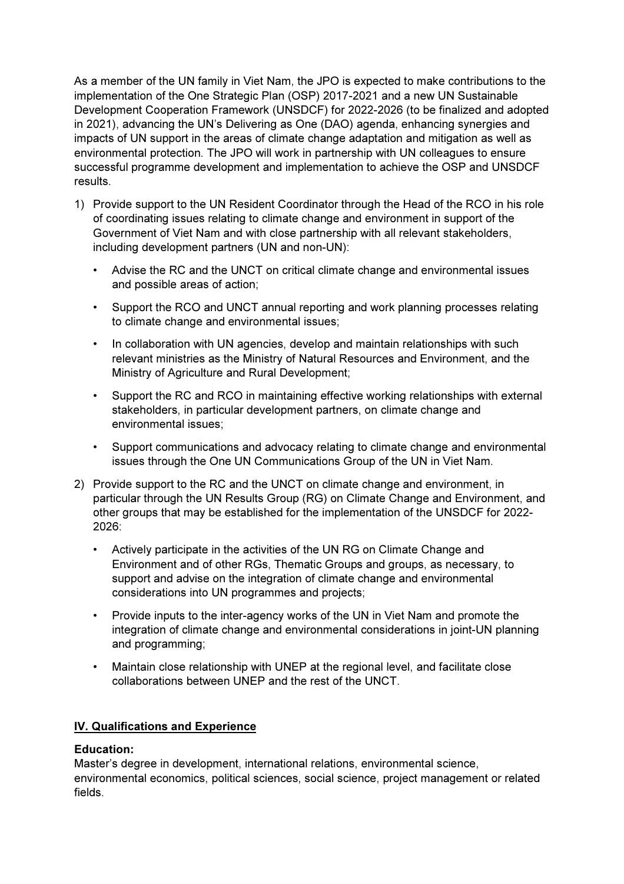As a member of the UN family in Viet Nam, the JPO is expected to make contributions to the implementation of the One Strategic Plan (OSP) 2017-2021 and a new UN Sustainable Development Cooperation Framework (UNSDCF) for 2022-2026 (to be finalized and adopted in 2021), advancing the UN's Delivering as One (DAO) agenda, enhancing synergies and impacts of UN support in the areas of climate change adaptation and mitigation as well as environmental protection. The JPO will work in partnership with UN colleagues to ensure successful programme development and implementation to achieve the OSP and UNSDCF results.

- 1) Provide support to the UN Resident Coordinator through the Head of the RCO in his role of coordinating issues relating to climate change and environment in support of the Government of Viet Nam and with close partnership with all relevant stakeholders, including development partners (UN and non-UN):
	- Advise the RC and the UNCT on critical climate change and environmental issues and possible areas of action;
	- Support the RCO and UNCT annual reporting and work planning processes relating to climate change and environmental issues;
	- In collaboration with UN agencies, develop and maintain relationships with such relevant ministries as the Ministry of Natural Resources and Environment, and the Ministry of Agriculture and Rural Development;
	- Support the RC and RCO in maintaining effective working relationships with external stakeholders, in particular development partners, on climate change and environmental issues;
	- Support communications and advocacy relating to climate change and environmental issues through the One UN Communications Group of the UN in Viet Nam.
- 2) Provide support to the RC and the UNCT on climate change and environment, in particular through the UN Results Group (RG) on Climate Change and Environment, and other groups that may be established for the implementation of the UNSDCF for 2022- 2026:
	- Actively participate in the activities of the UN RG on Climate Change and Environment and of other RGs, Thematic Groups and groups, as necessary, to support and advise on the integration of climate change and environmental considerations into UN programmes and projects;
	- Provide inputs to the inter-agency works of the UN in Viet Nam and promote the integration of climate change and environmental considerations in joint-UN planning and programming;
	- Maintain close relationship with UNEP at the regional level, and facilitate close collaborations between UNEP and the rest of the UNCT.

#### IV. Qualifications and Experience

#### Education:

Master's degree in development, international relations, environmental science, environmental economics, political sciences, social science, project management or related fields.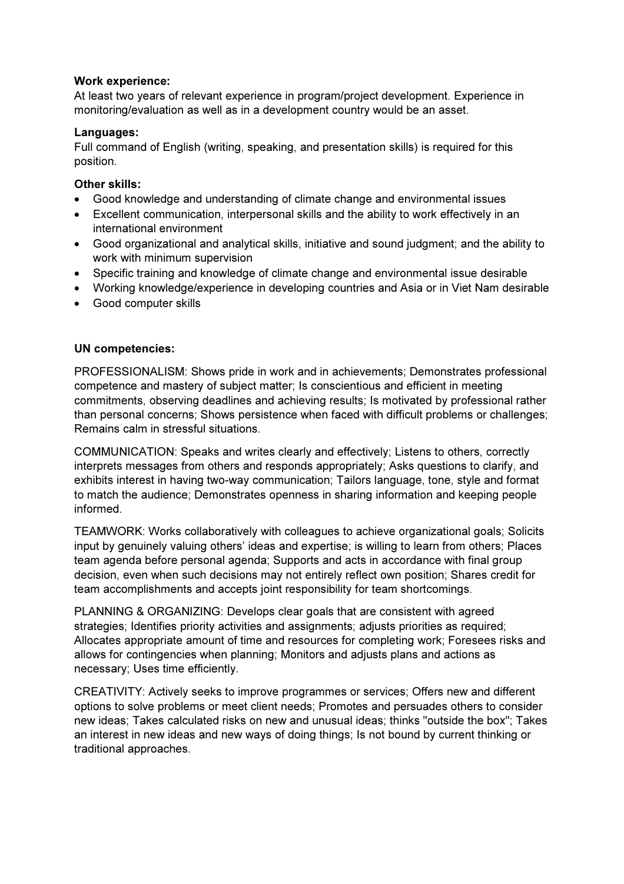### Work experience:

At least two years of relevant experience in program/project development. Experience in monitoring/evaluation as well as in a development country would be an asset.

### Languages:

Full command of English (writing, speaking, and presentation skills) is required for this position.

## Other skills:

- Good knowledge and understanding of climate change and environmental issues
- Excellent communication, interpersonal skills and the ability to work effectively in an international environment
- Good organizational and analytical skills, initiative and sound judgment; and the ability to work with minimum supervision
- Specific training and knowledge of climate change and environmental issue desirable
- Working knowledge/experience in developing countries and Asia or in Viet Nam desirable
- Good computer skills

## UN competencies:

PROFESSIONALISM: Shows pride in work and in achievements; Demonstrates professional competence and mastery of subject matter; Is conscientious and efficient in meeting commitments, observing deadlines and achieving results; Is motivated by professional rather than personal concerns; Shows persistence when faced with difficult problems or challenges; Remains calm in stressful situations.

COMMUNICATION: Speaks and writes clearly and effectively; Listens to others, correctly interprets messages from others and responds appropriately; Asks questions to clarify, and exhibits interest in having two-way communication; Tailors language, tone, style and format to match the audience; Demonstrates openness in sharing information and keeping people informed.

TEAMWORK: Works collaboratively with colleagues to achieve organizational goals; Solicits input by genuinely valuing others' ideas and expertise; is willing to learn from others; Places team agenda before personal agenda; Supports and acts in accordance with final group decision, even when such decisions may not entirely reflect own position; Shares credit for team accomplishments and accepts joint responsibility for team shortcomings.

PLANNING & ORGANIZING: Develops clear goals that are consistent with agreed strategies; Identifies priority activities and assignments; adjusts priorities as required; Allocates appropriate amount of time and resources for completing work; Foresees risks and allows for contingencies when planning; Monitors and adjusts plans and actions as necessary; Uses time efficiently.

CREATIVITY: Actively seeks to improve programmes or services; Offers new and different options to solve problems or meet client needs; Promotes and persuades others to consider new ideas; Takes calculated risks on new and unusual ideas; thinks "outside the box"; Takes an interest in new ideas and new ways of doing things; Is not bound by current thinking or traditional approaches.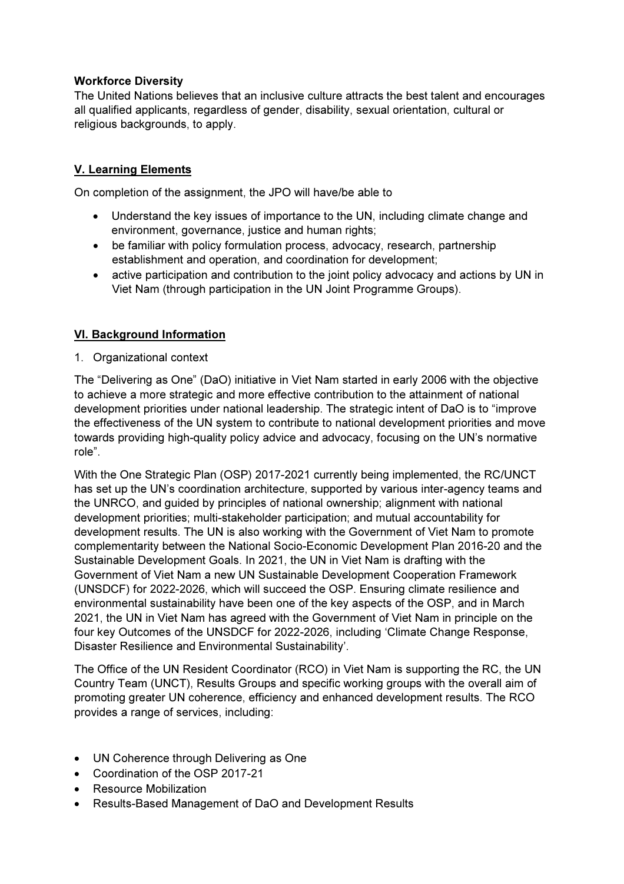# Workforce Diversity

The United Nations believes that an inclusive culture attracts the best talent and encourages all qualified applicants, regardless of gender, disability, sexual orientation, cultural or religious backgrounds, to apply.

# V. Learning Elements

On completion of the assignment, the JPO will have/be able to

- Understand the key issues of importance to the UN, including climate change and environment, governance, justice and human rights;
- be familiar with policy formulation process, advocacy, research, partnership establishment and operation, and coordination for development;
- active participation and contribution to the joint policy advocacy and actions by UN in Viet Nam (through participation in the UN Joint Programme Groups).

# VI. Background Information

1. Organizational context

The "Delivering as One" (DaO) initiative in Viet Nam started in early 2006 with the objective to achieve a more strategic and more effective contribution to the attainment of national development priorities under national leadership. The strategic intent of DaO is to "improve the effectiveness of the UN system to contribute to national development priorities and move towards providing high-quality policy advice and advocacy, focusing on the UN's normative role".

With the One Strategic Plan (OSP) 2017-2021 currently being implemented, the RC/UNCT has set up the UN's coordination architecture, supported by various inter-agency teams and the UNRCO, and guided by principles of national ownership; alignment with national development priorities; multi-stakeholder participation; and mutual accountability for development results. The UN is also working with the Government of Viet Nam to promote complementarity between the National Socio-Economic Development Plan 2016-20 and the Sustainable Development Goals. In 2021, the UN in Viet Nam is drafting with the Government of Viet Nam a new UN Sustainable Development Cooperation Framework (UNSDCF) for 2022-2026, which will succeed the OSP. Ensuring climate resilience and environmental sustainability have been one of the key aspects of the OSP, and in March 2021, the UN in Viet Nam has agreed with the Government of Viet Nam in principle on the four key Outcomes of the UNSDCF for 2022-2026, including 'Climate Change Response, Disaster Resilience and Environmental Sustainability'.

The Office of the UN Resident Coordinator (RCO) in Viet Nam is supporting the RC, the UN Country Team (UNCT), Results Groups and specific working groups with the overall aim of promoting greater UN coherence, efficiency and enhanced development results. The RCO provides a range of services, including:

- UN Coherence through Delivering as One
- Coordination of the OSP 2017-21
- Resource Mobilization
- Results-Based Management of DaO and Development Results